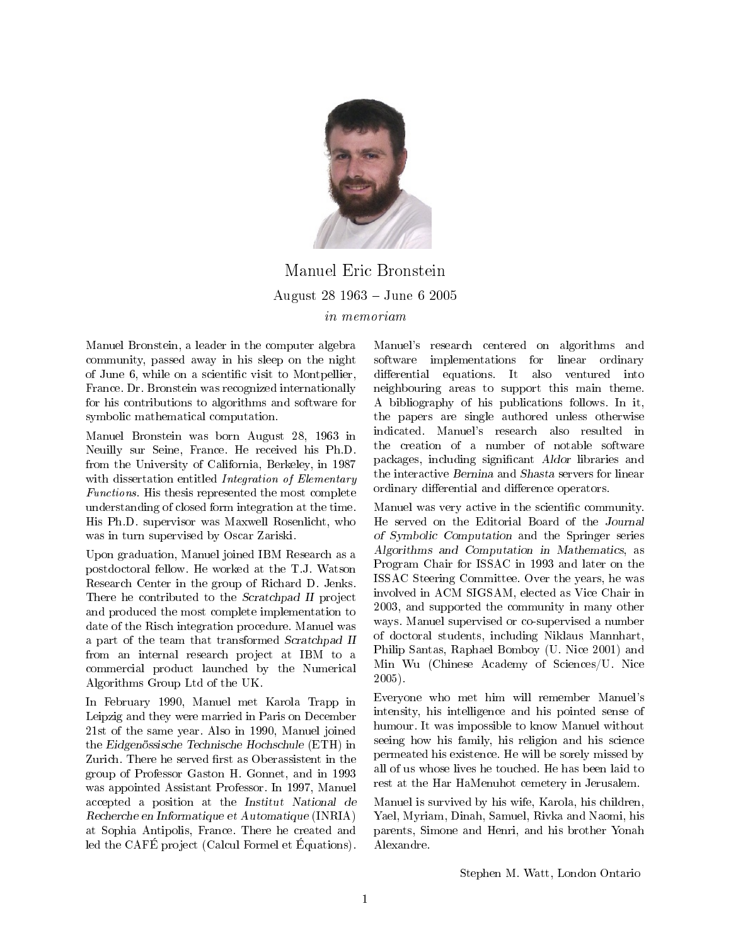

Manuel Eric Bronstein August 28 1963 June 6 2005 in memoriam

Manuel Bronstein, a leader in the computer algebra community, passed away in his sleep on the night of June 6, while on a scientific visit to Montpellier, France. Dr. Bronstein was recognized internationally for his contributions to algorithms and software for symbolic mathematical computation.

Manuel Bronstein was born August 28, 1963 in Neuilly sur Seine, France. He received his Ph.D. from the University of California, Berkeley, in 1987 with dissertation entitled *Integration of Elementary* Functions. His thesis represented the most complete understanding of closed form integration at the time. His Ph.D. supervisor was Maxwell Rosenlicht, who was in turn supervised by Oscar Zariski.

Upon graduation, Manuel joined IBM Research as a postdoctoral fellow. He worked at the T.J. Watson Research Center in the group of Richard D. Jenks. There he contributed to the Scratchpad II project and produced the most complete implementation to date of the Risch integration procedure. Manuel was a part of the team that transformed Scratchpad II from an internal research project at IBM to a commercial product launched by the Numerical Algorithms Group Ltd of the UK.

In February 1990, Manuel met Karola Trapp in Leipzig and they were married in Paris on December 21st of the same year. Also in 1990, Manuel joined the Eidgenössische Technische Hochschule (ETH) in Zurich. There he served first as Oberassistent in the group of Professor Gaston H. Gonnet, and in 1993 was appointed Assistant Professor. In 1997, Manuel accepted a position at the Institut National de Recherche en Informatique et Automatique (INRIA) at Sophia Antipolis, France. There he created and led the CAFE project (Calcul Formel et Equations).

Manuel's research centered on algorithms and software implementations for linear ordinary differential equations. It also ventured into neighbouring areas to support this main theme. A bibliography of his publications follows. In it, the papers are single authored unless otherwise indicated. Manuel's research also resulted in the creation of a number of notable software packages, including significant Aldor libraries and the interactive Bernina and Shasta servers for linear ordinary differential and difference operators.

Manuel was very active in the scientific community. He served on the Editorial Board of the Journal of Symbolic Computation and the Springer series Algorithms and Computation in Mathematics, as Program Chair for ISSAC in 1993 and later on the ISSAC Steering Committee. Over the years, he was involved in ACM SIGSAM, elected as Vice Chair in 2003, and supported the community in many other ways. Manuel supervised or co-supervised a number of doctoral students, including Niklaus Mannhart, Philip Santas, Raphael Bomboy (U. Nice 2001) and Min Wu (Chinese Academy of Sciences/U. Nice 2005).

Everyone who met him will remember Manuel's intensity, his intelligence and his pointed sense of humour. It was impossible to know Manuel without seeing how his family, his religion and his science permeated his existence. He will be sorely missed by all of us whose lives he touched. He has been laid to rest at the Har HaMenuhot cemetery in Jerusalem.

Manuel is survived by his wife, Karola, his children, Yael, Myriam, Dinah, Samuel, Rivka and Naomi, his parents, Simone and Henri, and his brother Yonah Alexandre.

Stephen M. Watt, London Ontario